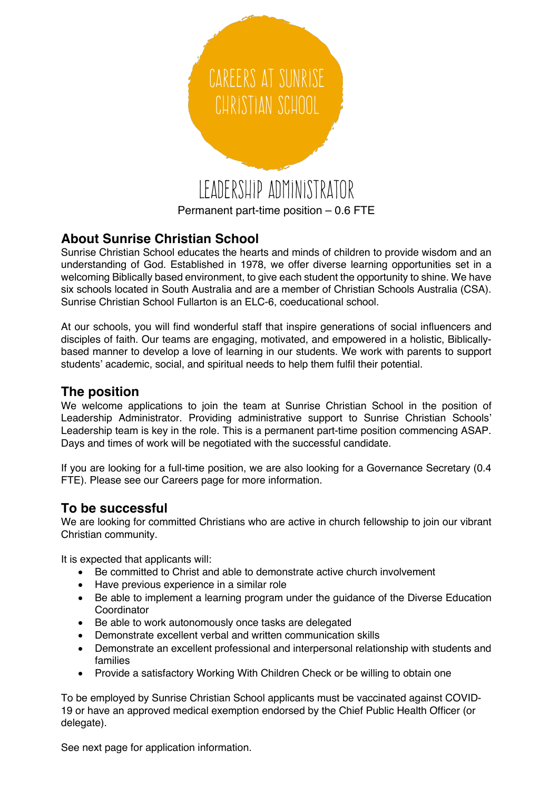

# **About Sunrise Christian School**

Sunrise Christian School educates the hearts and minds of children to provide wisdom and an understanding of God. Established in 1978, we offer diverse learning opportunities set in a welcoming Biblically based environment, to give each student the opportunity to shine. We have six schools located in South Australia and are a member of Christian Schools Australia (CSA). Sunrise Christian School Fullarton is an ELC-6, coeducational school.

At our schools, you will find wonderful staff that inspire generations of social influencers and disciples of faith. Our teams are engaging, motivated, and empowered in a holistic, Biblicallybased manner to develop a love of learning in our students. We work with parents to support students' academic, social, and spiritual needs to help them fulfil their potential.

### **The position**

We welcome applications to join the team at Sunrise Christian School in the position of Leadership Administrator. Providing administrative support to Sunrise Christian Schools' Leadership team is key in the role. This is a permanent part-time position commencing ASAP. Days and times of work will be negotiated with the successful candidate.

If you are looking for a full-time position, we are also looking for a Governance Secretary (0.4 FTE). Please see our Careers page for more information.

#### **To be successful**

We are looking for committed Christians who are active in church fellowship to join our vibrant Christian community.

It is expected that applicants will:

- Be committed to Christ and able to demonstrate active church involvement
- Have previous experience in a similar role
- Be able to implement a learning program under the guidance of the Diverse Education Coordinator
- Be able to work autonomously once tasks are delegated
- Demonstrate excellent verbal and written communication skills
- Demonstrate an excellent professional and interpersonal relationship with students and families
- Provide a satisfactory Working With Children Check or be willing to obtain one

To be employed by Sunrise Christian School applicants must be vaccinated against COVID-19 or have an approved medical exemption endorsed by the Chief Public Health Officer (or delegate).

See next page for application information.